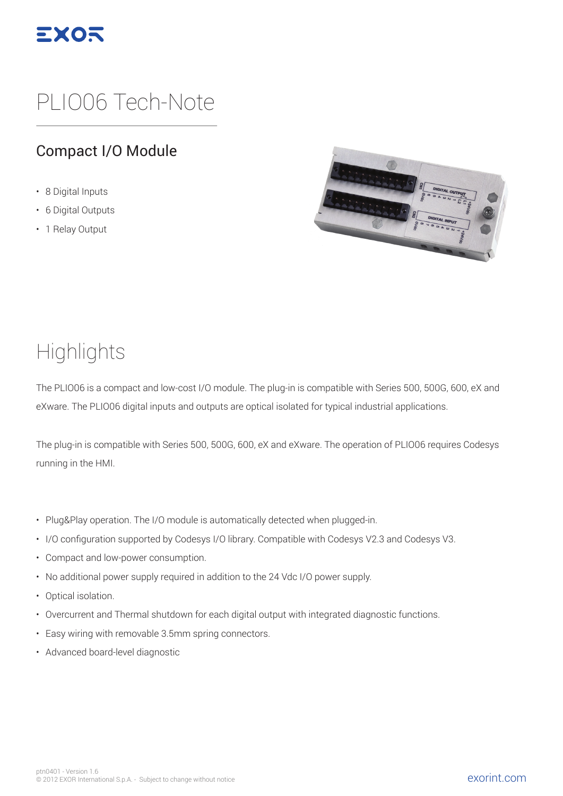

# PLIO06 Tech-Note

#### Compact I/O Module

- 8 Digital Inputs
- 6 Digital Outputs
- 1 Relay Output



#### **Highlights**

The PLIO06 is a compact and low-cost I/O module. The plug-in is compatible with Series 500, 500G, 600, eX and eXware. The PLIO06 digital inputs and outputs are optical isolated for typical industrial applications.

The plug-in is compatible with Series 500, 500G, 600, eX and eXware. The operation of PLIO06 requires Codesys running in the HMI.

- Plug&Play operation. The I/O module is automatically detected when plugged-in.
- I/O configuration supported by Codesys I/O library. Compatible with Codesys V2.3 and Codesys V3.
- Compact and low-power consumption.
- No additional power supply required in addition to the 24 Vdc I/O power supply.
- Optical isolation.
- Overcurrent and Thermal shutdown for each digital output with integrated diagnostic functions.
- Easy wiring with removable 3.5mm spring connectors.
- Advanced board-level diagnostic